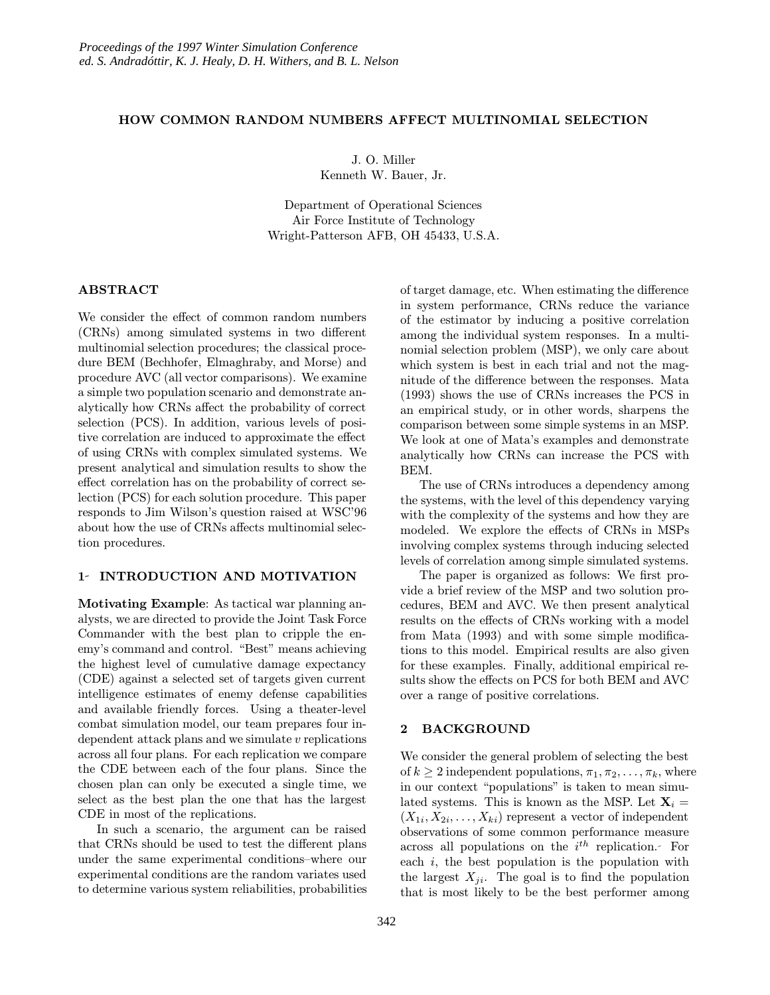#### HOW COMMON RANDOM NUMBERS AFFECT MULTINOMIAL SELECTION

J. O. Miller Kenneth W. Bauer, Jr.

Department of Operational Sciences Air Force Institute of Technology Wright-Patterson AFB, OH 45433, U.S.A.

# ABSTRACT

We consider the effect of common random numbers (CRNs) among simulated systems in two different multinomial selection procedures; the classical procedure BEM (Bechhofer, Elmaghraby, and Morse) and procedure AVC (all vector comparisons). We examine a simple two population scenario and demonstrate analytically how CRNs affect the probability of correct selection (PCS). In addition, various levels of positive correlation are induced to approximate the effect of using CRNs with complex simulated systems. We present analytical and simulation results to show the effect correlation has on the probability of correct selection (PCS) for each solution procedure. This paper responds to Jim Wilson's question raised at WSC'96 about how the use of CRNs affects multinomial selection procedures.

#### 1- INTRODUCTION AND MOTIVATION

Motivating Example: As tactical war planning analysts, we are directed to provide the Joint Task Force Commander with the best plan to cripple the enemy's command and control. "Best" means achieving the highest level of cumulative damage expectancy (CDE) against a selected set of targets given current intelligence estimates of enemy defense capabilities and available friendly forces. Using a theater-level combat simulation model, our team prepares four independent attack plans and we simulate  $v$  replications across all four plans. For each replication we compare the CDE between each of the four plans. Since the chosen plan can only be executed a single time, we select as the best plan the one that has the largest CDE in most of the replications.

In such a scenario, the argument can be raised that CRNs should be used to test the different plans under the same experimental conditions–where our experimental conditions are the random variates used to determine various system reliabilities, probabilities of target damage, etc. When estimating the difference in system performance, CRNs reduce the variance of the estimator by inducing a positive correlation among the individual system responses. In a multinomial selection problem (MSP), we only care about which system is best in each trial and not the magnitude of the difference between the responses. Mata (1993) shows the use of CRNs increases the PCS in an empirical study, or in other words, sharpens the comparison between some simple systems in an MSP. We look at one of Mata's examples and demonstrate analytically how CRNs can increase the PCS with BEM.

The use of CRNs introduces a dependency among the systems, with the level of this dependency varying with the complexity of the systems and how they are modeled. We explore the effects of CRNs in MSPs involving complex systems through inducing selected levels of correlation among simple simulated systems.

The paper is organized as follows: We first provide a brief review of the MSP and two solution procedures, BEM and AVC. We then present analytical results on the effects of CRNs working with a model from Mata (1993) and with some simple modifications to this model. Empirical results are also given for these examples. Finally, additional empirical results show the effects on PCS for both BEM and AVC over a range of positive correlations.

## 2 BACKGROUND

We consider the general problem of selecting the best of  $k \geq 2$  independent populations,  $\pi_1, \pi_2, \ldots, \pi_k$ , where in our context "populations" is taken to mean simulated systems. This is known as the MSP. Let  $X_i =$  $(X_{1i}, X_{2i}, \ldots, X_{ki})$  represent a vector of independent observations of some common performance measure across all populations on the  $i^{th}$  replication. For each  $i$ , the best population is the population with the largest  $X_{ji}$ . The goal is to find the population that is most likely to be the best performer among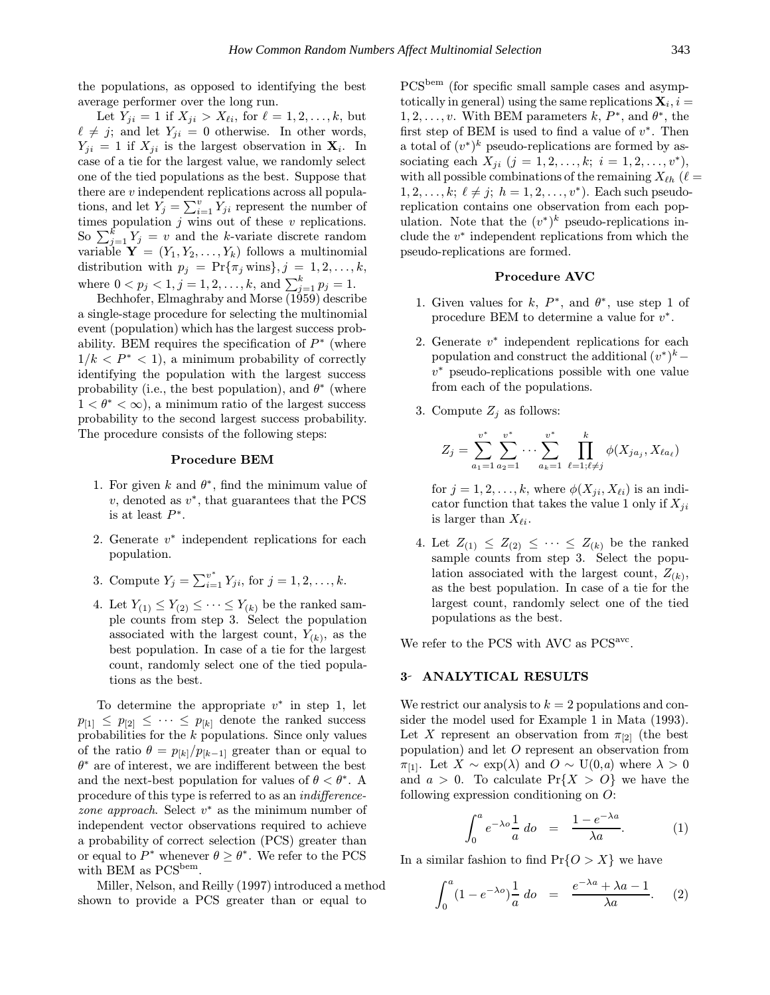the populations, as opposed to identifying the best average performer over the long run.

Let  $Y_{ji} = 1$  if  $X_{ji} > X_{\ell i}$ , for  $\ell = 1, 2, ..., k$ , but  $\ell \neq j$ ; and let  $Y_{ji} = 0$  otherwise. In other words,  $Y_{ji} = 1$  if  $X_{ji}$  is the largest observation in  $\mathbf{X}_i$ . In case of a tie for the largest value, we randomly select one of the tied populations as the best. Suppose that there are v independent replications across all populations, and let  $Y_j = \sum_{i=1}^v Y_{ji}$  represent the number of times population  $j$  wins out of these  $v$  replications. So  $\sum_{j=1}^{k} Y_j = v$  and the k-variate discrete random variable  $\mathbf{Y} = (Y_1, Y_2, \ldots, Y_k)$  follows a multinomial distribution with  $p_j = \Pr{\{\pi_j \text{ wins}\}, j = 1, 2, ..., k, \}$ where  $0 < p_j < 1, j = 1, 2, ..., k$ , and  $\sum_{j=1}^{k} p_j = 1$ .

Bechhofer, Elmaghraby and Morse (1959) describe a single-stage procedure for selecting the multinomial event (population) which has the largest success probability. BEM requires the specification of  $P^*$  (where  $1/k \le P^* \le 1$ , a minimum probability of correctly identifying the population with the largest success probability (i.e., the best population), and  $\theta^*$  (where  $1 < \theta^* < \infty$ , a minimum ratio of the largest success probability to the second largest success probability. The procedure consists of the following steps:

### Procedure BEM

- 1. For given k and  $\theta^*$ , find the minimum value of  $v$ , denoted as  $v^*$ , that guarantees that the PCS is at least  $P^*$ .
- 2. Generate  $v^*$  independent replications for each population.
- 3. Compute  $Y_j = \sum_{i=1}^{v^*} Y_{ji}$ , for  $j = 1, 2, ..., k$ .
- 4. Let  $Y_{(1)} \leq Y_{(2)} \leq \cdots \leq Y_{(k)}$  be the ranked sample counts from step 3. Select the population associated with the largest count,  $Y_{(k)}$ , as the best population. In case of a tie for the largest count, randomly select one of the tied populations as the best.

To determine the appropriate  $v^*$  in step 1, let  $p_{[1]} \leq p_{[2]} \leq \cdots \leq p_{[k]}$  denote the ranked success probabilities for the k populations. Since only values of the ratio  $\theta = p_{[k]}/p_{[k-1]}$  greater than or equal to  $\theta^*$  are of interest, we are indifferent between the best and the next-best population for values of  $\theta < \theta^*$ . A procedure of this type is referred to as an indifferencezone approach. Select  $v^*$  as the minimum number of independent vector observations required to achieve a probability of correct selection (PCS) greater than or equal to  $P^*$  whenever  $\theta \geq \theta^*$ . We refer to the PCS with BEM as  $PCS^{bem}$ .

Miller, Nelson, and Reilly (1997) introduced a method shown to provide a PCS greater than or equal to

PCS<sup>bem</sup> (for specific small sample cases and asymptotically in general) using the same replications  $\mathbf{X}_i, i =$  $1, 2, \ldots, v$ . With BEM parameters k,  $P^*$ , and  $\theta^*$ , the first step of BEM is used to find a value of  $v^*$ . Then a total of  $(v^*)^k$  pseudo-replications are formed by associating each  $X_{ji}$   $(j = 1, 2, \ldots, k; i = 1, 2, \ldots, v^*)$ , with all possible combinations of the remaining  $X_{\ell h}$  ( $\ell =$  $1, 2, \ldots, k; \ell \neq j; h = 1, 2, \ldots, v^*$ ). Each such pseudoreplication contains one observation from each population. Note that the  $(v^*)^k$  pseudo-replications include the  $v^*$  independent replications from which the pseudo-replications are formed.

## Procedure AVC

- 1. Given values for k,  $P^*$ , and  $\theta^*$ , use step 1 of procedure BEM to determine a value for  $v^*$ .
- 2. Generate  $v^*$  independent replications for each population and construct the additional  $(v^*)^k$ −  $v^*$  pseudo-replications possible with one value from each of the populations.
- 3. Compute  $Z_i$  as follows:

$$
Z_j = \sum_{a_1=1}^{v^*} \sum_{a_2=1}^{v^*} \cdots \sum_{a_k=1}^{v^*} \prod_{\ell=1; \ell \neq j}^k \phi(X_{ja_j}, X_{\ell a_\ell})
$$

for  $j = 1, 2, \ldots, k$ , where  $\phi(X_{ji}, X_{\ell i})$  is an indicator function that takes the value 1 only if  $X_{ji}$ is larger than  $X_{\ell i}$ .

4. Let  $Z_{(1)} \leq Z_{(2)} \leq \cdots \leq Z_{(k)}$  be the ranked sample counts from step 3. Select the population associated with the largest count,  $Z_{(k)}$ , as the best population. In case of a tie for the largest count, randomly select one of the tied populations as the best.

We refer to the PCS with AVC as PCS<sup>avc</sup>.

## 3- ANALYTICAL RESULTS

We restrict our analysis to  $k = 2$  populations and consider the model used for Example 1 in Mata (1993). Let X represent an observation from  $\pi_{2}$  (the best population) and let O represent an observation from  $\pi_{11}$ . Let  $X \sim \exp(\lambda)$  and  $O \sim U(0,a)$  where  $\lambda > 0$ and  $a > 0$ . To calculate  $Pr{X > 0}$  we have the following expression conditioning on O:

$$
\int_0^a e^{-\lambda o} \frac{1}{a} \, do = \frac{1 - e^{-\lambda a}}{\lambda a}.
$$
 (1)

In a similar fashion to find  $Pr\{O > X\}$  we have

$$
\int_0^a (1 - e^{-\lambda o}) \frac{1}{a} \, do = \frac{e^{-\lambda a} + \lambda a - 1}{\lambda a}.
$$
 (2)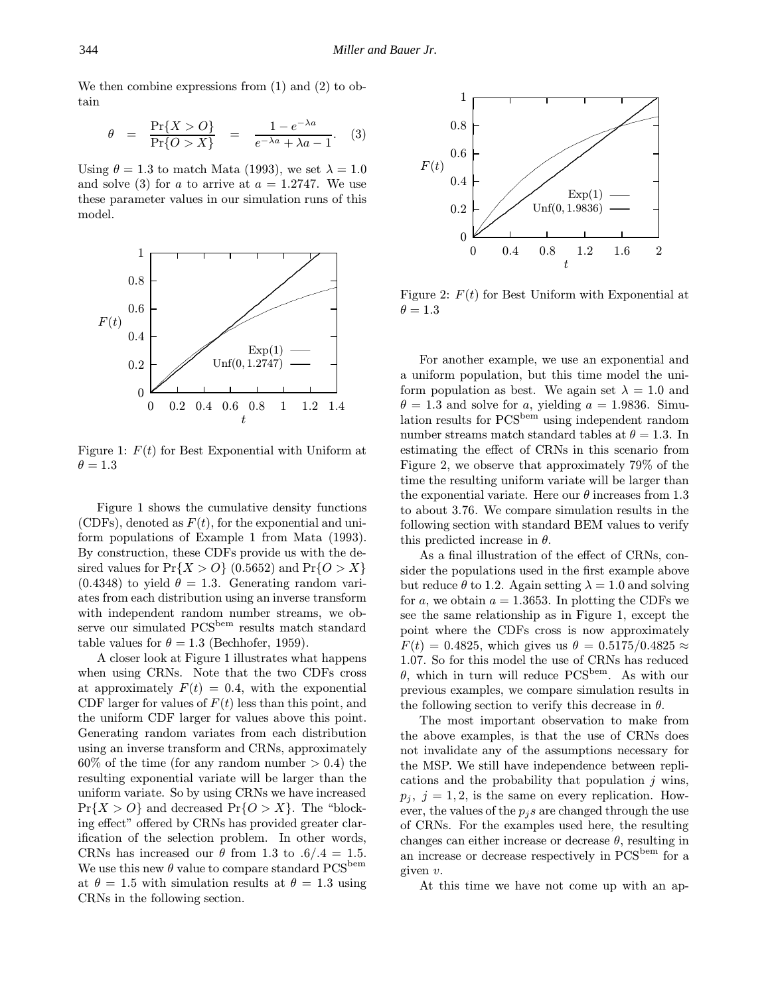We then combine expressions from (1) and (2) to obtain

$$
\theta = \frac{\Pr\{X > 0\}}{\Pr\{O > X\}} = \frac{1 - e^{-\lambda a}}{e^{-\lambda a} + \lambda a - 1}.
$$
 (3)

Using  $\theta = 1.3$  to match Mata (1993), we set  $\lambda = 1.0$ and solve (3) for a to arrive at  $a = 1.2747$ . We use these parameter values in our simulation runs of this model.



Figure 1:  $F(t)$  for Best Exponential with Uniform at  $\theta = 1.3$ 

Figure 1 shows the cumulative density functions (CDFs), denoted as  $F(t)$ , for the exponential and uniform populations of Example 1 from Mata (1993). By construction, these CDFs provide us with the desired values for  $Pr{X > 0}$  (0.5652) and  $Pr{O > X}$  $(0.4348)$  to yield  $\theta = 1.3$ . Generating random variates from each distribution using an inverse transform with independent random number streams, we observe our simulated PCS<sup>bem</sup> results match standard table values for  $\theta = 1.3$  (Bechhofer, 1959).

A closer look at Figure 1 illustrates what happens when using CRNs. Note that the two CDFs cross at approximately  $F(t) = 0.4$ , with the exponential CDF larger for values of  $F(t)$  less than this point, and the uniform CDF larger for values above this point. Generating random variates from each distribution using an inverse transform and CRNs, approximately  $60\%$  of the time (for any random number  $> 0.4$ ) the resulting exponential variate will be larger than the uniform variate. So by using CRNs we have increased  $Pr{X > 0}$  and decreased  $Pr{O > X}$ . The "blocking effect" offered by CRNs has provided greater clarification of the selection problem. In other words, CRNs has increased our  $\theta$  from 1.3 to .6/.4 = 1.5. We use this new  $\theta$  value to compare standard PCS<sup>bem</sup> at  $\theta = 1.5$  with simulation results at  $\theta = 1.3$  using CRNs in the following section.



Figure 2:  $F(t)$  for Best Uniform with Exponential at  $\theta = 1.3$ 

For another example, we use an exponential and a uniform population, but this time model the uniform population as best. We again set  $\lambda = 1.0$  and  $\theta = 1.3$  and solve for a, yielding  $a = 1.9836$ . Simulation results for  $PCS^{bem}$  using independent random number streams match standard tables at  $\theta = 1.3$ . In estimating the effect of CRNs in this scenario from Figure 2, we observe that approximately 79% of the time the resulting uniform variate will be larger than the exponential variate. Here our  $\theta$  increases from 1.3 to about 3.76. We compare simulation results in the following section with standard BEM values to verify this predicted increase in  $\theta$ .

As a final illustration of the effect of CRNs, consider the populations used in the first example above but reduce  $\theta$  to 1.2. Again setting  $\lambda = 1.0$  and solving for a, we obtain  $a = 1.3653$ . In plotting the CDFs we see the same relationship as in Figure 1, except the point where the CDFs cross is now approximately  $F(t) = 0.4825$ , which gives us  $\theta = 0.5175/0.4825 \approx$ 1.07. So for this model the use of CRNs has reduced  $\theta$ , which in turn will reduce PCS<sup>bem</sup>. As with our previous examples, we compare simulation results in the following section to verify this decrease in  $\theta$ .

The most important observation to make from the above examples, is that the use of CRNs does not invalidate any of the assumptions necessary for the MSP. We still have independence between replications and the probability that population  $j$  wins,  $p_i$ ,  $j = 1, 2$ , is the same on every replication. However, the values of the  $p_i$ s are changed through the use of CRNs. For the examples used here, the resulting changes can either increase or decrease  $\theta$ , resulting in an increase or decrease respectively in  $PCS^{bem}$  for a given v.

At this time we have not come up with an ap-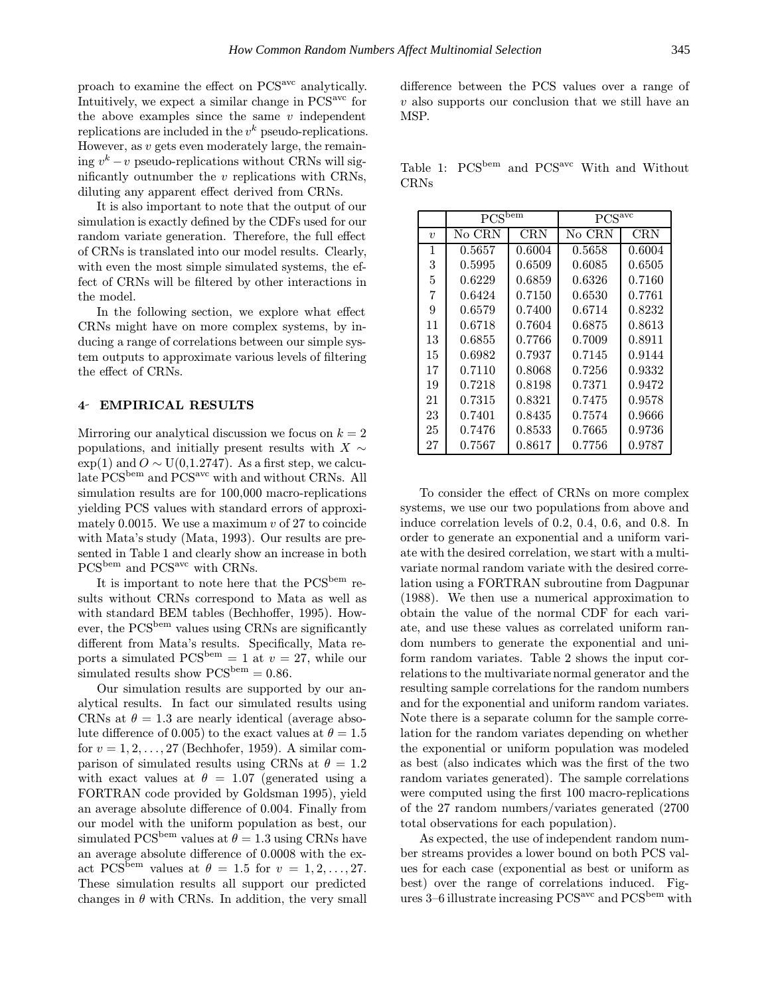proach to examine the effect on PCSavc analytically. Intuitively, we expect a similar change in PCSavc for the above examples since the same  $v$  independent replications are included in the  $v^k$  pseudo-replications. However, as v gets even moderately large, the remaining  $v^k - v$  pseudo-replications without CRNs will significantly outnumber the  $v$  replications with CRNs, diluting any apparent effect derived from CRNs.

It is also important to note that the output of our simulation is exactly defined by the CDFs used for our random variate generation. Therefore, the full effect of CRNs is translated into our model results. Clearly, with even the most simple simulated systems, the effect of CRNs will be filtered by other interactions in the model.

In the following section, we explore what effect CRNs might have on more complex systems, by inducing a range of correlations between our simple system outputs to approximate various levels of filtering the effect of CRNs.

#### 4 EMPIRICAL RESULTS

Mirroring our analytical discussion we focus on  $k = 2$ populations, and initially present results with  $X \sim$  $\exp(1)$  and  $O \sim U(0, 1.2747)$ . As a first step, we calculate  $PCS^{bem}$  and  $PCS^{ave}$  with and without CRNs. All simulation results are for 100,000 macro-replications yielding PCS values with standard errors of approximately 0.0015. We use a maximum  $v$  of 27 to coincide with Mata's study (Mata, 1993). Our results are presented in Table 1 and clearly show an increase in both PCS<sup>bem</sup> and PCS<sup>avc</sup> with CRNs.

It is important to note here that the  $PCS^{bem}$  results without CRNs correspond to Mata as well as with standard BEM tables (Bechhoffer, 1995). However, the  $PCS^{bem}$  values using CRNs are significantly different from Mata's results. Specifically, Mata reports a simulated  $PCS^{bem} = 1$  at  $v = 27$ , while our simulated results show  $\mathrm{PCS}^{\mathrm{bem}} = 0.86$ .

Our simulation results are supported by our analytical results. In fact our simulated results using CRNs at  $\theta = 1.3$  are nearly identical (average absolute difference of 0.005) to the exact values at  $\theta = 1.5$ for  $v = 1, 2, \ldots, 27$  (Bechhofer, 1959). A similar comparison of simulated results using CRNs at  $\theta = 1.2$ with exact values at  $\theta = 1.07$  (generated using a FORTRAN code provided by Goldsman 1995), yield an average absolute difference of 0.004. Finally from our model with the uniform population as best, our simulated PCS<sup>bem</sup> values at  $\theta = 1.3$  using CRNs have an average absolute difference of 0.0008 with the exact PCS<sup>bem</sup> values at  $\theta = 1.5$  for  $v = 1, 2, \ldots, 27$ . These simulation results all support our predicted changes in  $\theta$  with CRNs. In addition, the very small

difference between the PCS values over a range of  $v$  also supports our conclusion that we still have an MSP.

Table 1: PCS<sup>bem</sup> and PCS<sup>avc</sup> With and Without CRNs

|                  | $PCS^{beam}$ |            | PCS <sup>avc</sup> |            |
|------------------|--------------|------------|--------------------|------------|
| $\boldsymbol{v}$ | No CRN       | <b>CRN</b> | No CRN             | <b>CRN</b> |
| 1                | 0.5657       | 0.6004     | 0.5658             | 0.6004     |
| 3                | 0.5995       | 0.6509     | 0.6085             | 0.6505     |
| 5                | 0.6229       | 0.6859     | 0.6326             | 0.7160     |
| 7                | 0.6424       | 0.7150     | 0.6530             | 0.7761     |
| 9                | 0.6579       | 0.7400     | 0.6714             | 0.8232     |
| 11               | 0.6718       | 0.7604     | 0.6875             | 0.8613     |
| 13               | 0.6855       | 0.7766     | 0.7009             | 0.8911     |
| 15               | 0.6982       | 0.7937     | 0.7145             | 0.9144     |
| 17               | 0.7110       | 0.8068     | 0.7256             | 0.9332     |
| 19               | 0.7218       | 0.8198     | 0.7371             | 0.9472     |
| 21               | 0.7315       | 0.8321     | 0.7475             | 0.9578     |
| 23               | 0.7401       | 0.8435     | 0.7574             | 0.9666     |
| 25               | 0.7476       | 0.8533     | 0.7665             | 0.9736     |
| 27               | 0.7567       | 0.8617     | 0.7756             | 0.9787     |

To consider the effect of CRNs on more complex systems, we use our two populations from above and induce correlation levels of 0.2, 0.4, 0.6, and 0.8. In order to generate an exponential and a uniform variate with the desired correlation, we start with a multivariate normal random variate with the desired correlation using a FORTRAN subroutine from Dagpunar (1988). We then use a numerical approximation to obtain the value of the normal CDF for each variate, and use these values as correlated uniform random numbers to generate the exponential and uniform random variates. Table 2 shows the input correlations to the multivariate normal generator and the resulting sample correlations for the random numbers and for the exponential and uniform random variates. Note there is a separate column for the sample correlation for the random variates depending on whether the exponential or uniform population was modeled as best (also indicates which was the first of the two random variates generated). The sample correlations were computed using the first 100 macro-replications of the 27 random numbers/variates generated (2700 total observations for each population).

As expected, the use of independent random number streams provides a lower bound on both PCS values for each case (exponential as best or uniform as best) over the range of correlations induced. Figures  $3-6$  illustrate increasing  $PCS^{avc}$  and  $PCS^{bem}$  with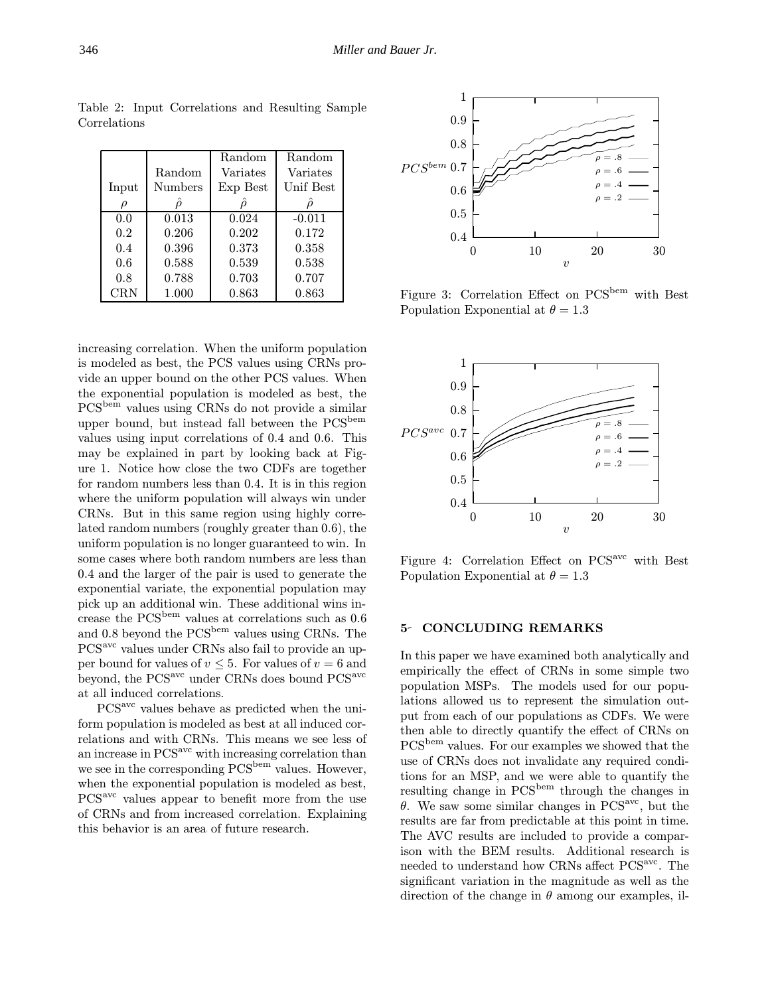|            |         | Random   | Random    |
|------------|---------|----------|-----------|
|            | Random  | Variates | Variates  |
| Input      | Numbers | Exp Best | Unif Best |
|            |         |          |           |
| 0.0        | 0.013   | 0.024    | $-0.011$  |
| 0.2        | 0.206   | 0.202    | 0.172     |
| 0.4        | 0.396   | 0.373    | 0.358     |
| 0.6        | 0.588   | 0.539    | 0.538     |
| 0.8        | 0.788   | 0.703    | 0.707     |
| <b>CRN</b> | 1.000   | 0.863    | 0.863     |

Table 2: Input Correlations and Resulting Sample Correlations

increasing correlation. When the uniform population is modeled as best, the PCS values using CRNs provide an upper bound on the other PCS values. When the exponential population is modeled as best, the PCSbem values using CRNs do not provide a similar upper bound, but instead fall between the  $PCS^{bem}$ values using input correlations of 0.4 and 0.6. This may be explained in part by looking back at Figure 1. Notice how close the two CDFs are together for random numbers less than 0.4. It is in this region where the uniform population will always win under CRNs. But in this same region using highly correlated random numbers (roughly greater than 0.6), the uniform population is no longer guaranteed to win. In some cases where both random numbers are less than 0.4 and the larger of the pair is used to generate the exponential variate, the exponential population may pick up an additional win. These additional wins increase the PCSbem values at correlations such as 0.6 and 0.8 beyond the  $PCS^{bem}$  values using CRNs. The PCS<sup>avc</sup> values under CRNs also fail to provide an upper bound for values of  $v \leq 5$ . For values of  $v = 6$  and beyond, the PCS<sup>avc</sup> under CRNs does bound PCS<sup>avc</sup> at all induced correlations.

PCS<sup>avc</sup> values behave as predicted when the uniform population is modeled as best at all induced correlations and with CRNs. This means we see less of an increase in PCS<sup>avc</sup> with increasing correlation than we see in the corresponding PCS<sup>bem</sup> values. However, when the exponential population is modeled as best, PCSavc values appear to benefit more from the use of CRNs and from increased correlation. Explaining this behavior is an area of future research.



Figure 3: Correlation Effect on PCS<sup>bem</sup> with Best Population Exponential at  $\theta = 1.3$ 



Figure 4: Correlation Effect on PCS<sup>avc</sup> with Best Population Exponential at  $\theta = 1.3$ 

## 5- CONCLUDING REMARKS

In this paper we have examined both analytically and empirically the effect of CRNs in some simple two population MSPs. The models used for our populations allowed us to represent the simulation output from each of our populations as CDFs. We were then able to directly quantify the effect of CRNs on PCS<sup>bem</sup> values. For our examples we showed that the use of CRNs does not invalidate any required conditions for an MSP, and we were able to quantify the resulting change in  $PCS^{bem}$  through the changes in  $\theta$ . We saw some similar changes in PCS<sup>avc</sup>, but the results are far from predictable at this point in time. The AVC results are included to provide a comparison with the BEM results. Additional research is needed to understand how CRNs affect PCS<sup>avc</sup>. The significant variation in the magnitude as well as the direction of the change in  $\theta$  among our examples, il-